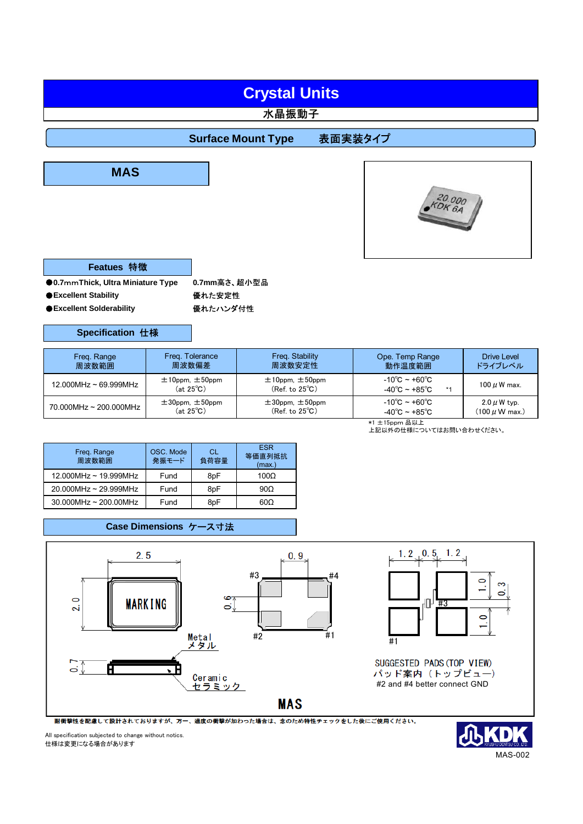# **Crystal Units**

### 水晶振動子

## **Surface Mount Type 表面実装タイプ**





| Featues 特徵 |  |
|------------|--|
|------------|--|

**●0.7mmThick, Ultra Miniature Type 0.7mm高さ、超小型品** 

●**Excellent Stability** 優れた安定性

●**Excellent Solderability** ● 優れたハンダ付性

#### **Specification** 仕様

| Freq. Range                | Freg. Tolerance                                | Freq. Stability                                     | Ope. Temp Range                                                          | <b>Drive Level</b>    |
|----------------------------|------------------------------------------------|-----------------------------------------------------|--------------------------------------------------------------------------|-----------------------|
| 周波数範囲                      | 周波数偏差                                          | 周波数安定性                                              | 動作温度範囲                                                                   | ドライブレベル               |
| $12.000MHz \sim 69.999MHz$ | $\pm$ 10ppm, $\pm$ 50ppm<br>$(at 25^{\circ}C)$ | $\pm$ 10ppm, $\pm$ 50ppm<br>$(Ref. to 25^{\circ}C)$ | $-10^{\circ}$ C ~ +60 $^{\circ}$ C<br>$-40^{\circ}$ C ~ +85 $^{\circ}$ C | 100 $\mu$ W max.      |
| 70.000MHz ~ 200.000MHz     | $\pm 30$ ppm, $\pm 50$ ppm                     | $\pm 30$ ppm, $\pm 50$ ppm                          | $-10^{\circ}$ C ~ +60 $^{\circ}$ C                                       | $2.0 \mu$ W typ.      |
|                            | $(at 25^{\circ}C)$                             | $(Ref. to 25^{\circ}C)$                             | $-40^{\circ}$ C ~ +85 $^{\circ}$ C                                       | (100 <i>μ</i> W max.) |

\*1 ±15ppm 品以上

上記以外の仕様についてはお問い合わせください。

| Freq. Range<br>周波数範囲     | OSC. Mode<br>発振モード | СL<br>負荷容量 | <b>ESR</b><br>等価直列抵抗<br>(max.) |
|--------------------------|--------------------|------------|--------------------------------|
| 12.000MHz ~ 19.999MHz    | Fund               | 8pF        | $100\Omega$                    |
| $20.000$ MHz ~ 29.999MHz | Fund               | 8pF        | $90\Omega$                     |
| $30.000$ MHz ~ 200.00MHz | Fund               | 8pF        | $60\Omega$                     |

### **Case Dimensions** ケース寸法





SUGGESTED PADS (TOP VIEW) パッド案内 (トップビュー) #2 and #4 better connect GND

耐衝撃性を配慮して設計されておりますが、万一、過度の衝撃が加わった場合は、念のため特性チェックをした後にご使用ください。

All specification subjected to change without notics. 仕様は変更になる場合があります